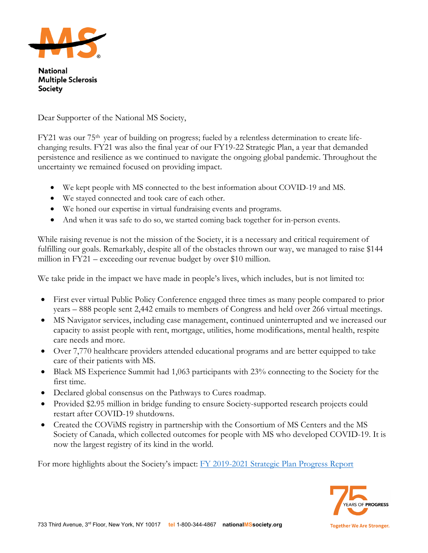

**National Multiple Sclerosis Society** 

Dear Supporter of the National MS Society,

FY21 was our 75th year of building on progress; fueled by a relentless determination to create lifechanging results. FY21 was also the final year of our FY19-22 Strategic Plan, a year that demanded persistence and resilience as we continued to navigate the ongoing global pandemic. Throughout the uncertainty we remained focused on providing impact.

- We kept people with MS connected to the best information about COVID-19 and MS.
- We stayed connected and took care of each other.
- We honed our expertise in virtual fundraising events and programs.
- And when it was safe to do so, we started coming back together for in-person events.

While raising revenue is not the mission of the Society, it is a necessary and critical requirement of fulfilling our goals. Remarkably, despite all of the obstacles thrown our way, we managed to raise \$144 million in FY21 – exceeding our revenue budget by over \$10 million.

We take pride in the impact we have made in people's lives, which includes, but is not limited to:

- First ever virtual Public Policy Conference engaged three times as many people compared to prior years – 888 people sent 2,442 emails to members of Congress and held over 266 virtual meetings.
- MS Navigator services, including case management, continued uninterrupted and we increased our capacity to assist people with rent, mortgage, utilities, home modifications, mental health, respite care needs and more.
- Over 7,770 healthcare providers attended educational programs and are better equipped to take care of their patients with MS.
- Black MS Experience Summit had 1,063 participants with 23% connecting to the Society for the first time.
- Declared global consensus on the Pathways to Cures roadmap.
- Provided \$2.95 million in bridge funding to ensure Society-supported research projects could restart after COVID-19 shutdowns.
- Created the COVIMS registry in partnership with the Consortium of MS Centers and the MS Society of Canada, which collected outcomes for people with MS who developed COVID-19. It is now the largest registry of its kind in the world.

For more highlights about the Society's impact: [FY 2019-2021 Strategic Plan Progress Report](https://nmss.sharepoint.com/Shared%20Documents/FY19-FY21%20Strategic%20Plan%20Progress%20Report.pdf)